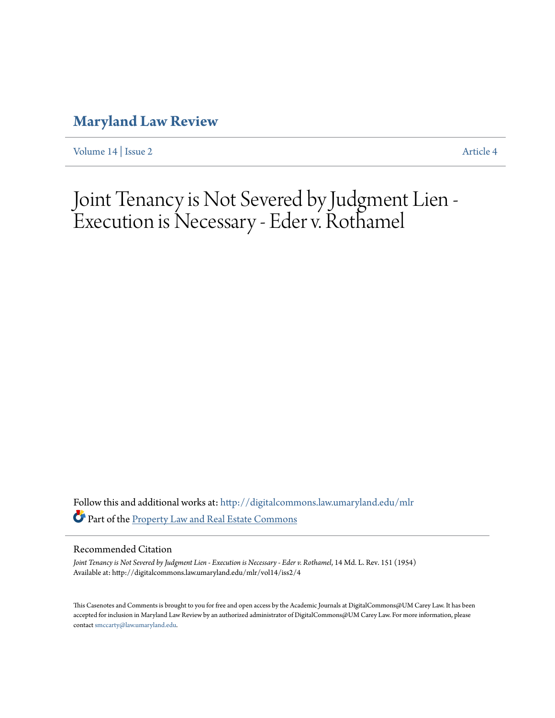## **[Maryland Law Review](http://digitalcommons.law.umaryland.edu/mlr?utm_source=digitalcommons.law.umaryland.edu%2Fmlr%2Fvol14%2Fiss2%2F4&utm_medium=PDF&utm_campaign=PDFCoverPages)**

[Volume 14](http://digitalcommons.law.umaryland.edu/mlr/vol14?utm_source=digitalcommons.law.umaryland.edu%2Fmlr%2Fvol14%2Fiss2%2F4&utm_medium=PDF&utm_campaign=PDFCoverPages) | [Issue 2](http://digitalcommons.law.umaryland.edu/mlr/vol14/iss2?utm_source=digitalcommons.law.umaryland.edu%2Fmlr%2Fvol14%2Fiss2%2F4&utm_medium=PDF&utm_campaign=PDFCoverPages) [Article 4](http://digitalcommons.law.umaryland.edu/mlr/vol14/iss2/4?utm_source=digitalcommons.law.umaryland.edu%2Fmlr%2Fvol14%2Fiss2%2F4&utm_medium=PDF&utm_campaign=PDFCoverPages)

# Joint Tenancy is Not Severed by Judgment Lien - Execution is Necessary - Eder v. Rothamel

Follow this and additional works at: [http://digitalcommons.law.umaryland.edu/mlr](http://digitalcommons.law.umaryland.edu/mlr?utm_source=digitalcommons.law.umaryland.edu%2Fmlr%2Fvol14%2Fiss2%2F4&utm_medium=PDF&utm_campaign=PDFCoverPages) Part of the [Property Law and Real Estate Commons](http://network.bepress.com/hgg/discipline/897?utm_source=digitalcommons.law.umaryland.edu%2Fmlr%2Fvol14%2Fiss2%2F4&utm_medium=PDF&utm_campaign=PDFCoverPages)

### Recommended Citation

*Joint Tenancy is Not Severed by Judgment Lien - Execution is Necessary - Eder v. Rothamel*, 14 Md. L. Rev. 151 (1954) Available at: http://digitalcommons.law.umaryland.edu/mlr/vol14/iss2/4

This Casenotes and Comments is brought to you for free and open access by the Academic Journals at DigitalCommons@UM Carey Law. It has been accepted for inclusion in Maryland Law Review by an authorized administrator of DigitalCommons@UM Carey Law. For more information, please contact [smccarty@law.umaryland.edu.](mailto:smccarty@law.umaryland.edu)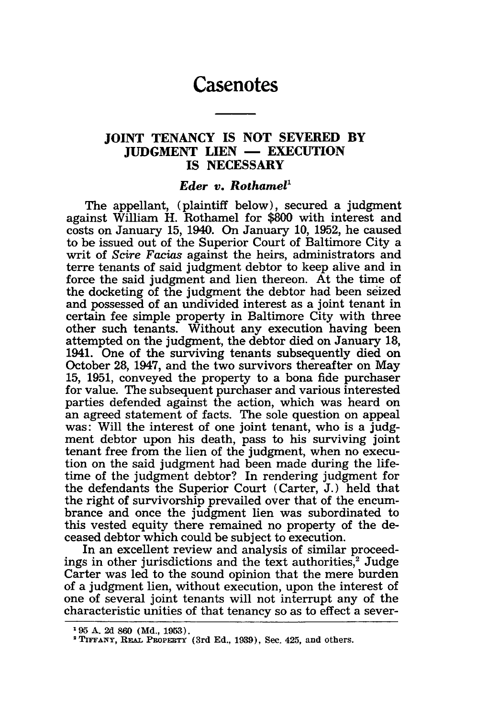## **Casenotes**

## **JOINT TENANCY IS NOT SEVERED BY JUDGMENT LIEN — EXECUTION IS NECESSARY**

#### *Eder v. Rothamel'*

The appellant, (plaintiff below), secured a judgment against William H. Rothamel for \$800 with interest and costs on January 15, 1940. On January 10, 1952, he caused to be issued out of the Superior Court of Baltimore City a writ of *Scire Facias* against the heirs, administrators and terre tenants of said judgment debtor to keep alive and in force the said judgment and lien thereon. At the time of the docketing of the judgment the debtor had been seized and possessed of an undivided interest as a joint tenant in certain fee simple property in Baltimore City with three other such tenants. Without any execution having been attempted on the judgment, the debtor died on January 18, 1941. One of the surviving tenants subsequently died on October 28, 1947, and the two survivors thereafter on May 15, 1951, conveyed the property to a bona fide purchaser for value. The subsequent purchaser and various interested parties defended against the action, which was heard on an agreed statement of facts. The sole question on appeal was: Will the interest of one joint tenant, who is a judgment debtor upon his death, pass to his surviving joint tenant free from the lien of the judgment, when no execution on the said judgment had been made during the lifetime of the judgment debtor? In rendering judgment for the defendants the Superior Court (Carter, J.) held that the right of survivorship prevailed over that of the encumbrance and once the judgment lien was subordinated to this vested equity there remained no property of the deceased debtor which could be subject to execution.

In an excellent review and analysis of similar proceedings in other jurisdictions and the text authorities,<sup>2</sup> Judge Carter was led to the sound opinion that the mere burden of a judgment lien, without execution, upon the interest of one of several joint tenants will not interrupt any of the characteristic unities of that tenancy so as to effect a sever-

**<sup>&#</sup>x27;95** A. **2d** 860 **(Md., 1953).**

<sup>&</sup>lt;sup>2</sup> TIFFANY, REAL PROPERTY (3rd Ed., 1939), Sec. 425, and others.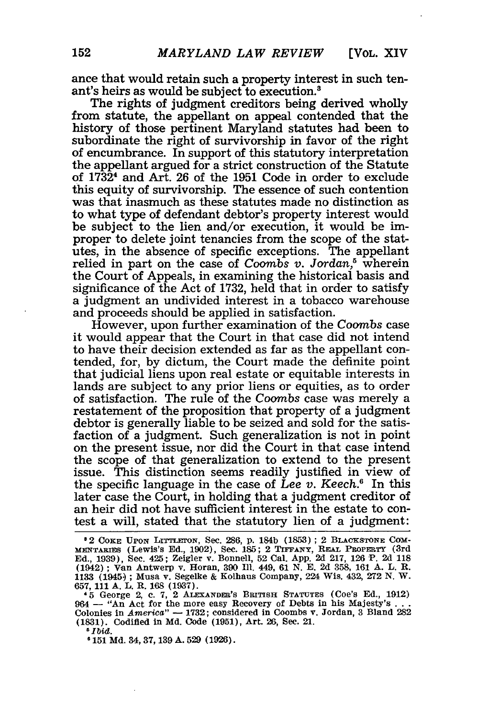ance that would retain such a property interest in such tenant's heirs as would be subject to execution.3

The rights of judgment creditors being derived wholly from statute, the appellant on appeal contended that the history of those pertinent Maryland statutes had been to subordinate the right of survivorship in favor of the right of encumbrance. In support of this statutory interpretation the appellant argued for a strict construction of the Statute of 1732' and Art. 26 of the 1951 Code in order to exclude this equity of survivorship. The essence of such contention was that inasmuch as these statutes made no distinction as to what type of defendant debtor's property interest would be subject to the lien and/or execution, it would be improper to delete joint tenancies from the scope of the statutes, in the absence of specific exceptions. The appellant relied in part on the case of *Coombs v. Jordan,5* wherein the Court of Appeals, in examining the historical basis and significance of the Act of 1732, held that in order to satisfy a judgment an undivided interest in a tobacco warehouse and proceeds should be applied in satisfaction.

However, upon further examination of the *Coombs* case it would appear that the Court in that case did not intend to have their decision extended as far as the appellant contended, for, by dictum, the Court made the definite point that judicial liens upon real estate or equitable interests in lands are subject to any prior liens or equities, as to order of satisfaction. The rule of the *Coombs* case was merely a restatement of the proposition that property of a judgment debtor is generally liable to be seized and sold for the satisfaction of a judgment. Such generalization is not in point on the present issue, nor did the Court in that case intend the scope of that generalization to extend to the present issue. This distinction seems readily justified in view of the specific language in the case of *Lee v. Keech.6* In this later case the Court, in holding that a judgment creditor of an heir did not have sufficient interest in the estate to contest a will, stated that the statutory lien of a judgment:

*5 Ibid.*

**0151 Md. 34, 37, 139 A. 529 (1926).**

**<sup>02</sup> COKE IDON LITTLEDN, Sec. 286, p. 184b (1853) : 2 BLACKSTONE COM-**MENTARIES (Lewis's **Ed., 1902),** Sec. **185; 2 TIFFANY, REAL PROPERTY (3rd Ed., 1939),** Sec. 425; Zeigler **v.** Bonnell, **52** Cal. **App. 2d 217, 126 P. 2d 118 (1942) ;** Van Antwerp **v. Horan, 390 Ill. 449, 61 N. E. 2d 358, 161 A. L. R. 1133 (1945.) ; Musa v. Segelke & Kolhaus Company, 224 Wis. 432, 272 N. W. 657, 111 A. L. R. 168 (1937).**

**<sup>&</sup>quot;5 George 2, c. 7, 2 ALEXANDEM'S BRITISH STATUTES (Coe's Ed., 1912)** 964 — "An Act for the more easy Recovery of Debts in his Majesty's ...<br>Colonies in America" — 1732; considered in Coombs v. Jordan, 3 Bland 282<br>(1831). Codified in Md. Code (1951), Art. 26, Sec. 21.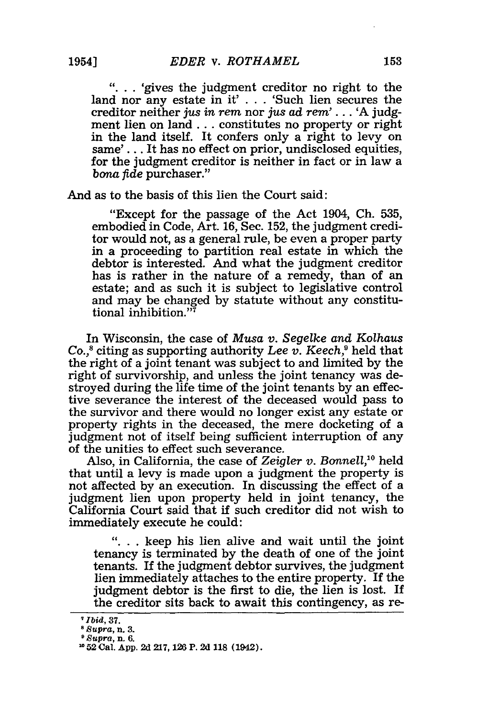**"...** 'gives the judgment creditor no right to the land nor any estate in it' **.** . **.** 'Such lien secures the creditor neither *jus in rem* nor *jus ad rem'.* **.** . 'A judgment lien on land... constitutes no property or right in the land itself. It confers only a right to levy on same'.. . It has no effect on prior, undisclosed equities, for the judgment creditor is neither in fact or in law a *bona fide* purchaser."

And as to the basis of this lien the Court said:

"Except for the passage of the Act 1904, Ch. 535, embodied in Code, Art. 16, Sec. 152, the judgment creditor would not, as a general rule, be even a proper party in a proceeding to partition real estate in which the debtor is interested. And what the judgment creditor has is rather in the nature of a remedy, than of an estate; and as such it is subject to legislative control and may be changed by statute without any constitutional inhibition." $\bar{a}$ 

In Wisconsin, the case of *Musa v. Segelke and Kolhaus Co.,8* citing as supporting authority *Lee v. Keech,9* held that the right of a joint tenant was subject to and limited by the right of survivorship, and unless the joint tenancy was destroyed during the life time of the joint tenants by an effective severance the interest of the deceased would pass to the survivor and there would no longer exist any estate or property rights in the deceased, the mere docketing of a judgment not of itself being sufficient interruption of any of the unities to effect such severance.

Also, in California, the case of *Zeigler v. Bonnell,10* held that until a levy is made upon a judgment the property is not affected by an execution. In discussing the effect of a judgment lien upon property held in joint tenancy, the California Court said that if such creditor did not wish to immediately execute he could:

**"...** keep his lien alive and wait until the joint tenancy is terminated by the death of one of the joint tenants. If the judgment debtor survives, the judgment lien immediately attaches to the entire property. If the judgment debtor is the first to die, the lien is lost. If the creditor sits back to await this contingency, as re-

*<sup>7</sup>Ibid,* **37.**

*s Supra,* **n. 3.**

*Supra,* **n. 6.**

**<sup>10 52</sup>** Cal. **App. 2d 217,** *126* P. **2d 118 (1942).**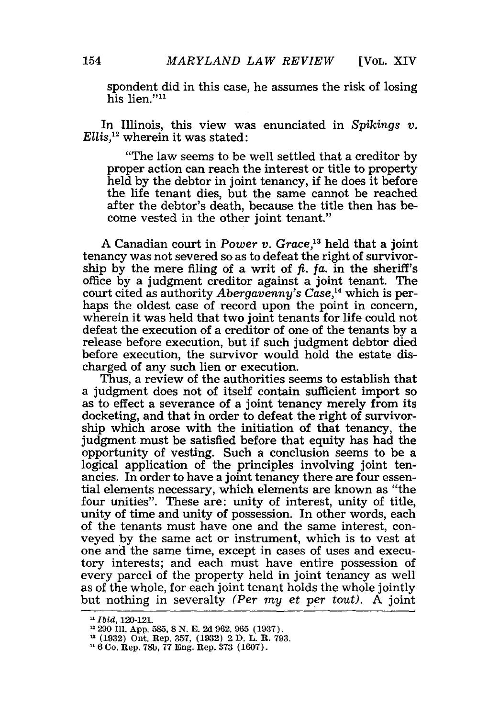spondent did in this case, he assumes the risk of losing his lien."<sup>11</sup>

In Illinois, this view was enunciated in *Spikings v. Ellis,"* wherein it was stated:

"The law seems to be well settled that a creditor by proper action can reach the interest or title to property held by the debtor in joint tenancy, if he does it before the life tenant dies, but the same cannot be reached after the debtor's death, because the title then has become vested in the other joint tenant."

A Canadian court in *Power v. Grace,"3* held that a joint tenancy was not severed so as to defeat the right of survivorship by the mere filing of a writ of  $\hat{\mu}$ ,  $\hat{\mu}$ , in the sheriff's office by a judgment creditor against a joint tenant. The court cited as authority *Abergavenny's Case,4* which is perhaps the oldest case of record upon the point in concern, wherein it was held that two joint tenants for life could not defeat the execution of a creditor of one of the tenants by a release before execution, but if such judgment debtor died before execution, the survivor would hold the estate discharged of any such lien or execution.

Thus, a review of the authorities seems to establish that a judgment does not of itself contain sufficient import so as to effect a severance of a joint tenancy merely from its docketing, and that in order to defeat the right of survivorship which arose with the initiation of that tenancy, the judgment must be satisfied before that equity has had the opportunity of vesting. Such a conclusion seems to be a logical application of the principles involving joint tenancies. In order to have a joint tenancy there are four essential elements necessary, which elements are known as "the four unities". These are: unity of interest, unity of title, unity of time and unity of possession. In other words, each of the tenants must have one and the same interest, conveyed by the same act or instrument, which is to vest at one and the same time, except in cases of uses and executory interests; and each must have entire possession of every parcel of the property held in joint tenancy as well as of the whole, for each joint tenant holds the whole jointly but nothing in severalty *(Per my et per tout).* A joint

**<sup>-</sup>** *Ibid,* 120-121.

<sup>12 290</sup> **I1.** App. **585, 8** N. E. 2d 962, 965 (1937).

**<sup>1</sup>** (1932) Ont. Rep. 357, (1932) 2 D. L. R. 793. **"** 6Co. Rep. **78b,** 77 Eng. Rep. 373 (1607).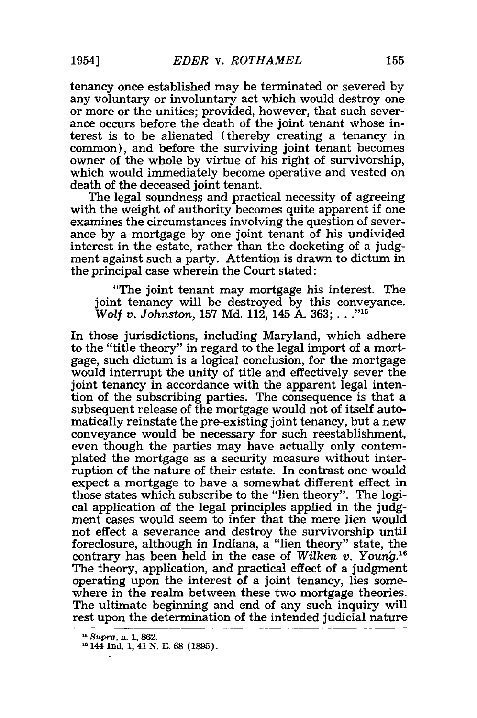tenancy once established may be terminated or severed by any voluntary or involuntary act which would destroy one or more or the unities; provided, however, that such severance occurs before the death of the joint tenant whose interest is to be alienated (thereby creating a tenancy in common), and before the surviving joint tenant becomes owner of the whole by virtue of his right of survivorship, which would immediately become operative and vested on death of the deceased joint tenant.

The legal soundness and practical necessity of agreeing with the weight of authority becomes quite apparent if one examines the circumstances involving the question of severance by a mortgage by one joint tenant of his undivided interest in the estate, rather than the docketing of a judgment against such a party. Attention is drawn to dictum in the principal case wherein the Court stated:

"The joint tenant may mortgage his interest. The joint tenancy will be destroyed by this conveyance. *Wolf v. Johnston,* 157 Md. 112, 145 A. 363; **..."**

In those jurisdictions, including Maryland, which adhere to the "title theory" in regard to the legal import of a mortgage, such dictum is a logical conclusion, for the mortgage would interrupt the unity of title and effectively sever the joint tenancy in accordance with the apparent legal intention of the subscribing parties. The consequence is that a subsequent release of the mortgage would not of itself automatically reinstate the pre-existing joint tenancy, but a new conveyance would be necessary for such reestablishment, even though the parties may have actually only contemplated the mortgage as a security measure without interruption of the nature of their estate. In contrast one would expect a mortgage to have a somewhat different effect in those states which subscribe to the "lien theory". The logical application of the legal principles applied in the judgment cases would seem to infer that the mere lien would not effect a severance and destroy the survivorship until foreclosure, although in Indiana, a "lien theory" state, the contrary has been held in the case of *Wilken v. Young*<sup>16</sup> The theory, application, and practical effect of a judgment operating upon the interest of a joint tenancy, lies somewhere in the realm between these two mortgage theories. The ultimate beginning and end of any such inquiry will rest upon the determination of the intended judicial nature

**<sup>15</sup>** *Supra,* **n. 1, 862.**

**<sup>&</sup>quot; 144 Ind. 1, 41 N. E. 68 (1895).**